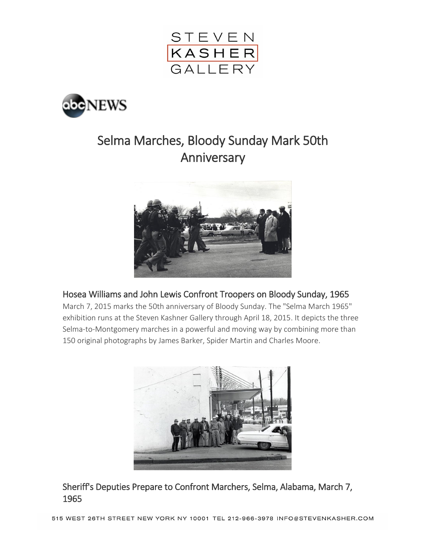



# Selma Marches, Bloody Sunday Mark 50th Anniversary



### Hosea Williams and John Lewis Confront Troopers on Bloody Sunday, 1965

March 7, 2015 marks the 50th anniversary of Bloody Sunday. The "Selma March 1965" exhibition runs at the Steven Kashner Gallery through April 18, 2015. It depicts the three Selma-to-Montgomery marches in a powerful and moving way by combining more than 150 original photographs by James Barker, Spider Martin and Charles Moore.



Sheriff's Deputies Prepare to Confront Marchers, Selma, Alabama, March 7, 1965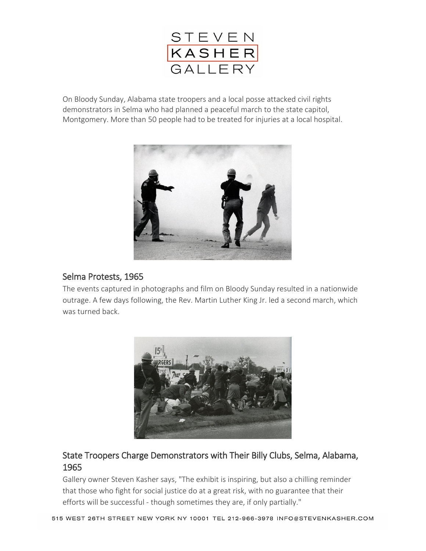

On Bloody Sunday, Alabama state troopers and a local posse attacked civil rights demonstrators in Selma who had planned a peaceful march to the state capitol, Montgomery. More than 50 people had to be treated for injuries at a local hospital.



#### Selma Protests, 1965

The events captured in photographs and film on Bloody Sunday resulted in a nationwide outrage. A few days following, the Rev. Martin Luther King Jr. led a second march, which was turned back.



# State Troopers Charge Demonstrators with Their Billy Clubs, Selma, Alabama, 1965

Gallery owner Steven Kasher says, "The exhibit is inspiring, but also a chilling reminder that those who fight for social justice do at a great risk, with no guarantee that their efforts will be successful - though sometimes they are, if only partially."

515 WEST 26TH STREET NEW YORK NY 10001 TEL 212-966-3978 INFO@STEVENKASHER.COM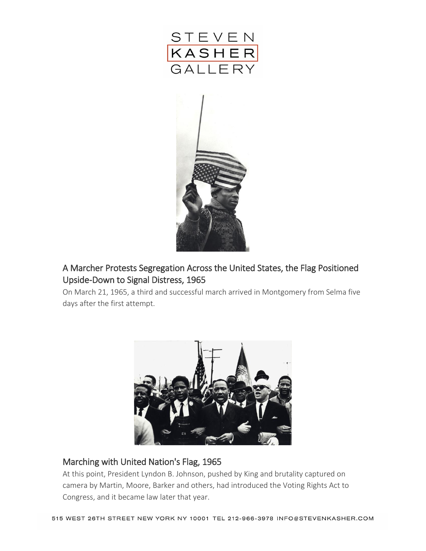



# A Marcher Protests Segregation Across the United States, the Flag Positioned Upside-Down to Signal Distress, 1965

On March 21, 1965, a third and successful march arrived in Montgomery from Selma five days after the first attempt.



### Marching with United Nation's Flag, 1965

At this point, President Lyndon B. Johnson, pushed by King and brutality captured on camera by Martin, Moore, Barker and others, had introduced the Voting Rights Act to Congress, and it became law later that year.